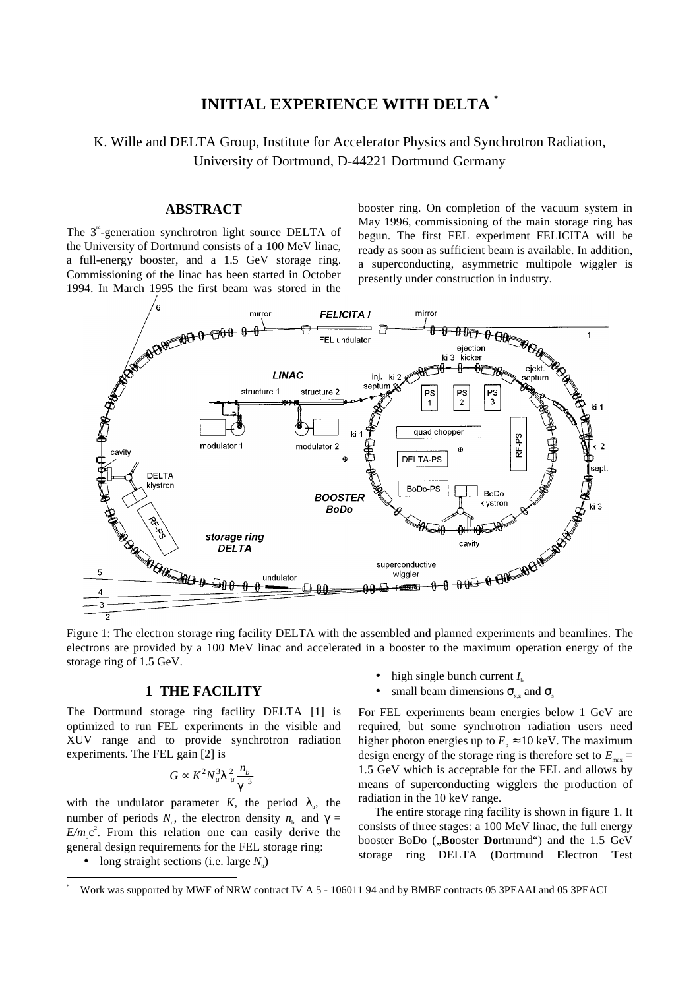# **INITIAL EXPERIENCE WITH DELTA \***

# K. Wille and DELTA Group, Institute for Accelerator Physics and Synchrotron Radiation, University of Dortmund, D-44221 Dortmund Germany

### **ABSTRACT**

The  $3<sup>rd</sup>$ -generation synchrotron light source DELTA of the University of Dortmund consists of a 100 MeV linac, a full-energy booster, and a 1.5 GeV storage ring. Commissioning of the linac has been started in October 1994. In March 1995 the first beam was stored in the

booster ring. On completion of the vacuum system in May 1996, commissioning of the main storage ring has begun. The first FEL experiment FELICITA will be ready as soon as sufficient beam is available. In addition, a superconducting, asymmetric multipole wiggler is presently under construction in industry.



Figure 1: The electron storage ring facility DELTA with the assembled and planned experiments and beamlines. The electrons are provided by a 100 MeV linac and accelerated in a booster to the maximum operation energy of the storage ring of 1.5 GeV.

### **1 THE FACILITY**

The Dortmund storage ring facility DELTA [1] is optimized to run FEL experiments in the visible and XUV range and to provide synchrotron radiation experiments. The FEL gain [2] is

$$
G \propto K^2 N_u^3 \lambda_u^2 \frac{n_b}{\gamma^3}
$$

with the undulator parameter *K*, the period  $\lambda_{\mu}$ , the number of periods *N<sub>u</sub>*, the electron density *n*<sub>b</sub>, and γ =  $E/m_0c^2$ . From this relation one can easily derive the general design requirements for the FEL storage ring:

• long straight sections (i.e. large  $N_{\mu}$ )

- high single bunch current  $I_{\rm b}$
- small beam dimensions  $\sigma_{yz}$  and  $\sigma_{xy}$

For FEL experiments beam energies below 1 GeV are required, but some synchrotron radiation users need higher photon energies up to  $E<sub>n</sub> \approx 10$  keV. The maximum design energy of the storage ring is therefore set to  $E_{\text{max}} =$ 1.5 GeV which is acceptable for the FEL and allows by means of superconducting wigglers the production of radiation in the 10 keV range.

The entire storage ring facility is shown in figure 1. It consists of three stages: a 100 MeV linac, the full energy booster BoDo ("Booster Dortmund") and the 1.5 GeV storage ring DELTA (**D**ortmund **El**ectron **T**est

 <sup>\*</sup> Work was supported by MWF of NRW contract IV A 5 - 106011 94 and by BMBF contracts 05 3PEAAI and 05 3PEACI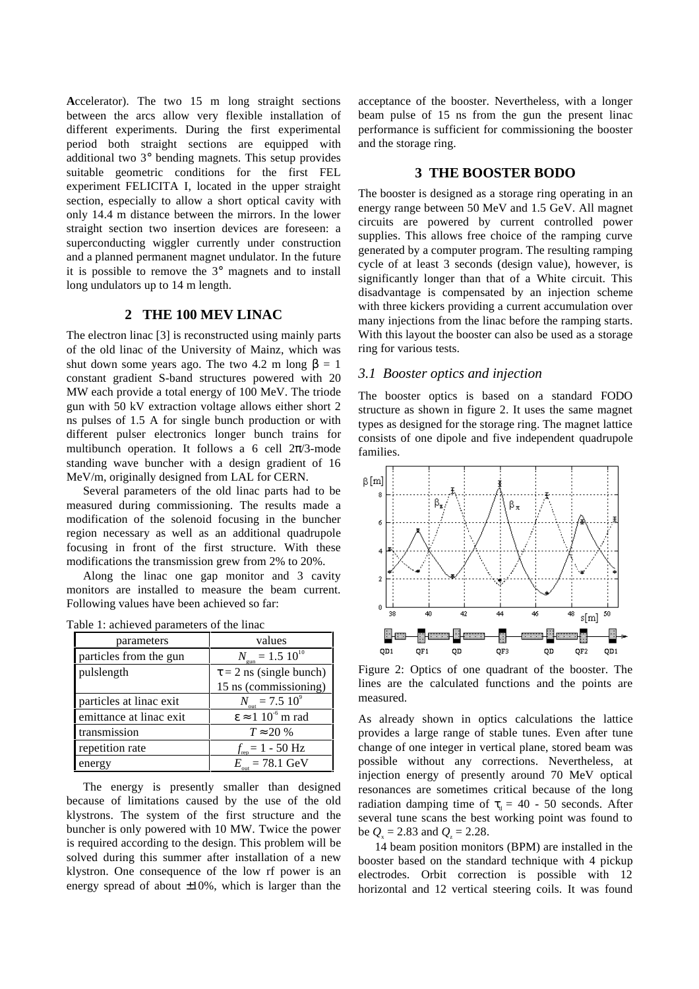**A**ccelerator). The two 15 m long straight sections between the arcs allow very flexible installation of different experiments. During the first experimental period both straight sections are equipped with additional two 3° bending magnets. This setup provides suitable geometric conditions for the first FEL experiment FELICITA I, located in the upper straight section, especially to allow a short optical cavity with only 14.4 m distance between the mirrors. In the lower straight section two insertion devices are foreseen: a superconducting wiggler currently under construction and a planned permanent magnet undulator. In the future it is possible to remove the 3° magnets and to install long undulators up to 14 m length.

## **2 THE 100 MEV LINAC**

The electron linac [3] is reconstructed using mainly parts of the old linac of the University of Mainz, which was shut down some years ago. The two 4.2 m long  $\beta = 1$ constant gradient S-band structures powered with 20 MW each provide a total energy of 100 MeV. The triode gun with 50 kV extraction voltage allows either short 2 ns pulses of 1.5 A for single bunch production or with different pulser electronics longer bunch trains for multibunch operation. It follows a 6 cell  $2\pi/3$ -mode standing wave buncher with a design gradient of 16 MeV/m, originally designed from LAL for CERN.

Several parameters of the old linac parts had to be measured during commissioning. The results made a modification of the solenoid focusing in the buncher region necessary as well as an additional quadrupole focusing in front of the first structure. With these modifications the transmission grew from 2% to 20%.

Along the linac one gap monitor and 3 cavity monitors are installed to measure the beam current. Following values have been achieved so far:

| parameters              | values                               |  |  |
|-------------------------|--------------------------------------|--|--|
| particles from the gun  | $N_{\text{gun}} = 1.5 10^{10}$       |  |  |
| pulslength              | $\tau$ = 2 ns (single bunch)         |  |  |
|                         | 15 ns (commissioning)                |  |  |
| particles at linac exit | $N_{\text{out}} = 7.5~10^9$          |  |  |
| emittance at linac exit | $\epsilon \approx 1~10^{-6}$ m rad   |  |  |
| transmission            | $T \approx 20\%$                     |  |  |
| repetition rate         | $f_{\text{rep}} = 1 - 50 \text{ Hz}$ |  |  |
| energy                  | $E_{\text{out}} = 78.1 \text{ GeV}$  |  |  |

| Table 1: achieved parameters of the linac |  |  |  |  |
|-------------------------------------------|--|--|--|--|
|-------------------------------------------|--|--|--|--|

The energy is presently smaller than designed because of limitations caused by the use of the old klystrons. The system of the first structure and the buncher is only powered with 10 MW. Twice the power is required according to the design. This problem will be solved during this summer after installation of a new klystron. One consequence of the low rf power is an energy spread of about  $\pm 10\%$ , which is larger than the acceptance of the booster. Nevertheless, with a longer beam pulse of 15 ns from the gun the present linac performance is sufficient for commissioning the booster and the storage ring.

### **3 THE BOOSTER BODO**

The booster is designed as a storage ring operating in an energy range between 50 MeV and 1.5 GeV. All magnet circuits are powered by current controlled power supplies. This allows free choice of the ramping curve generated by a computer program. The resulting ramping cycle of at least 3 seconds (design value), however, is significantly longer than that of a White circuit. This disadvantage is compensated by an injection scheme with three kickers providing a current accumulation over many injections from the linac before the ramping starts. With this layout the booster can also be used as a storage ring for various tests.

### *3.1 Booster optics and injection*

The booster optics is based on a standard FODO structure as shown in figure 2. It uses the same magnet types as designed for the storage ring. The magnet lattice consists of one dipole and five independent quadrupole families.



Figure 2: Optics of one quadrant of the booster. The lines are the calculated functions and the points are measured.

As already shown in optics calculations the lattice provides a large range of stable tunes. Even after tune change of one integer in vertical plane, stored beam was possible without any corrections. Nevertheless, at injection energy of presently around 70 MeV optical resonances are sometimes critical because of the long radiation damping time of  $\tau$  = 40 - 50 seconds. After several tune scans the best working point was found to be  $Q_x = 2.83$  and  $Q_z = 2.28$ .

14 beam position monitors (BPM) are installed in the booster based on the standard technique with 4 pickup electrodes. Orbit correction is possible with 12 horizontal and 12 vertical steering coils. It was found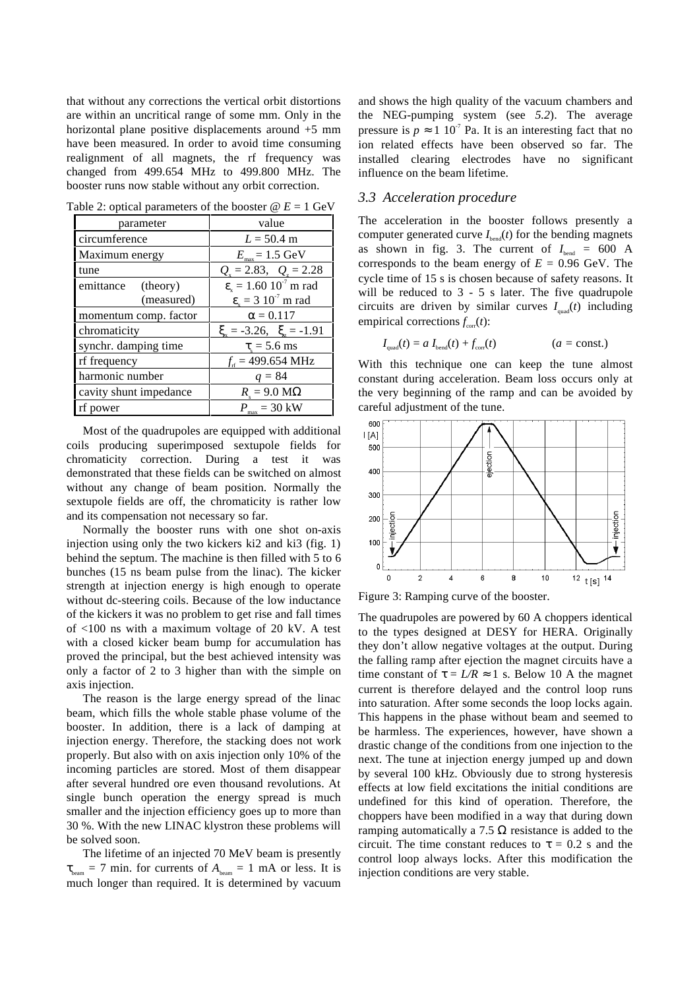that without any corrections the vertical orbit distortions are within an uncritical range of some mm. Only in the horizontal plane positive displacements around  $+5$  mm have been measured. In order to avoid time consuming realignment of all magnets, the rf frequency was changed from 499.654 MHz to 499.800 MHz. The booster runs now stable without any orbit correction.

| parameter              | value                                                 |  |
|------------------------|-------------------------------------------------------|--|
| circumference          | $L = 50.4$ m                                          |  |
| Maximum energy         | $E_{\text{max}} = 1.5 \text{ GeV}$                    |  |
| tune                   | $Q_{\rm v} = 2.83, \quad Q_{\rm v} = 2.28$            |  |
| emittance (theory)     | $\epsilon$ <sub>x</sub> = 1.60 10 <sup>-7</sup> m rad |  |
| (measured)             | $\varepsilon_{\rm v} = 3 \; 10^7 \; \rm m \; rad$     |  |
| momentum comp. factor  | $\alpha = 0.117$                                      |  |
| chromaticity           | $\xi = -3.26$ , $\xi = -1.91$                         |  |
| synchr. damping time   | $\tau$ <sub>s</sub> = 5.6 ms                          |  |
| rf frequency           | $f_{\text{rf}}$ = 499.654 MHz                         |  |
| harmonic number        | $q = 84$                                              |  |
| cavity shunt impedance | $R_s = 9.0 \text{ M}\Omega$                           |  |
| rf power               | $P_{\text{max}} = 30 \text{ kW}$                      |  |

Table 2: optical parameters of the booster  $\omega E = 1$  GeV

Most of the quadrupoles are equipped with additional coils producing superimposed sextupole fields for chromaticity correction. During a test it was demonstrated that these fields can be switched on almost without any change of beam position. Normally the sextupole fields are off, the chromaticity is rather low and its compensation not necessary so far.

Normally the booster runs with one shot on-axis injection using only the two kickers ki2 and ki3 (fig. 1) behind the septum. The machine is then filled with 5 to 6 bunches (15 ns beam pulse from the linac). The kicker strength at injection energy is high enough to operate without dc-steering coils. Because of the low inductance of the kickers it was no problem to get rise and fall times of <100 ns with a maximum voltage of 20 kV. A test with a closed kicker beam bump for accumulation has proved the principal, but the best achieved intensity was only a factor of 2 to 3 higher than with the simple on axis injection.

The reason is the large energy spread of the linac beam, which fills the whole stable phase volume of the booster. In addition, there is a lack of damping at injection energy. Therefore, the stacking does not work properly. But also with on axis injection only 10% of the incoming particles are stored. Most of them disappear after several hundred ore even thousand revolutions. At single bunch operation the energy spread is much smaller and the injection efficiency goes up to more than 30 %. With the new LINAC klystron these problems will be solved soon.

The lifetime of an injected 70 MeV beam is presently  $\tau_{\text{beam}} = 7$  min. for currents of  $A_{\text{beam}} = 1$  mA or less. It is much longer than required. It is determined by vacuum and shows the high quality of the vacuum chambers and the NEG-pumping system (see *5.2*). The average pressure is  $p \approx 1 \; 10^{-7}$  Pa. It is an interesting fact that no ion related effects have been observed so far. The installed clearing electrodes have no significant influence on the beam lifetime.

### *3.3 Acceleration procedure*

The acceleration in the booster follows presently a computer generated curve  $I_{bend}(t)$  for the bending magnets as shown in fig. 3. The current of  $I_{\text{bend}} = 600$  A corresponds to the beam energy of  $E = 0.96$  GeV. The cycle time of 15 s is chosen because of safety reasons. It will be reduced to 3 - 5 s later. The five quadrupole circuits are driven by similar curves  $I_{quad}(t)$  including empirical corrections  $f_{\text{corr}}(t)$ :

$$
I_{\text{quad}}(t) = a I_{\text{bend}}(t) + f_{\text{corr}}(t) \qquad (a = \text{const.})
$$

With this technique one can keep the tune almost constant during acceleration. Beam loss occurs only at the very beginning of the ramp and can be avoided by careful adjustment of the tune.



Figure 3: Ramping curve of the booster.

The quadrupoles are powered by 60 A choppers identical to the types designed at DESY for HERA. Originally they don't allow negative voltages at the output. During the falling ramp after ejection the magnet circuits have a time constant of  $\tau = L/R \approx 1$  s. Below 10 A the magnet current is therefore delayed and the control loop runs into saturation. After some seconds the loop locks again. This happens in the phase without beam and seemed to be harmless. The experiences, however, have shown a drastic change of the conditions from one injection to the next. The tune at injection energy jumped up and down by several 100 kHz. Obviously due to strong hysteresis effects at low field excitations the initial conditions are undefined for this kind of operation. Therefore, the choppers have been modified in a way that during down ramping automatically a 7.5  $\Omega$  resistance is added to the circuit. The time constant reduces to  $\tau = 0.2$  s and the control loop always locks. After this modification the injection conditions are very stable.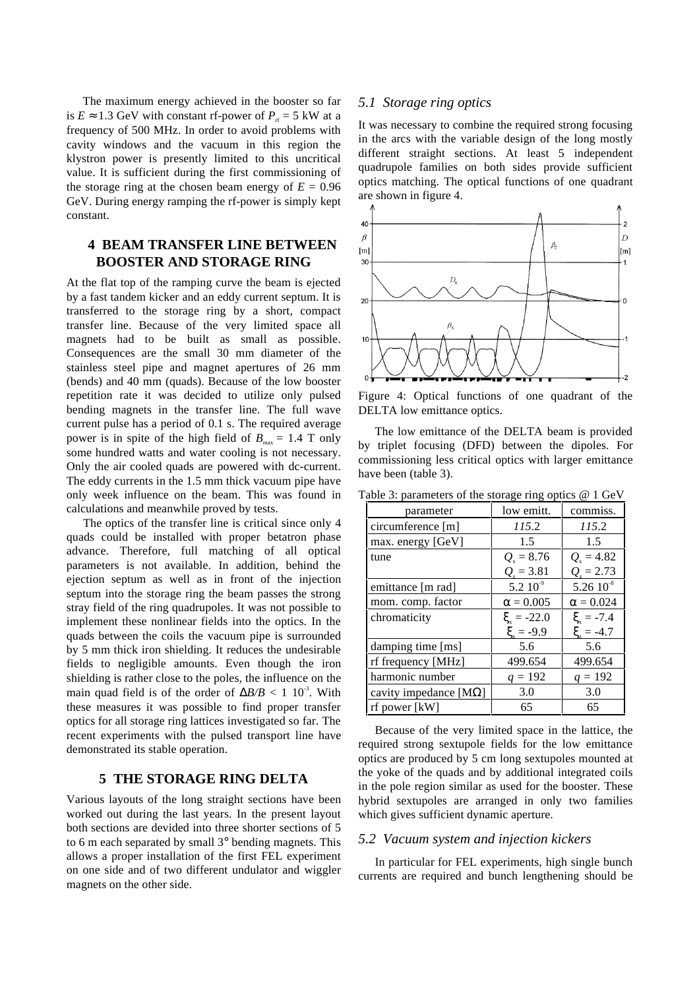The maximum energy achieved in the booster so far is  $E \approx 1.3$  GeV with constant rf-power of  $P_r = 5$  kW at a frequency of 500 MHz. In order to avoid problems with cavity windows and the vacuum in this region the klystron power is presently limited to this uncritical value. It is sufficient during the first commissioning of the storage ring at the chosen beam energy of  $E = 0.96$ GeV. During energy ramping the rf-power is simply kept constant.

## **4 BEAM TRANSFER LINE BETWEEN BOOSTER AND STORAGE RING**

At the flat top of the ramping curve the beam is ejected by a fast tandem kicker and an eddy current septum. It is transferred to the storage ring by a short, compact transfer line. Because of the very limited space all magnets had to be built as small as possible. Consequences are the small 30 mm diameter of the stainless steel pipe and magnet apertures of 26 mm (bends) and 40 mm (quads). Because of the low booster repetition rate it was decided to utilize only pulsed bending magnets in the transfer line. The full wave current pulse has a period of 0.1 s. The required average power is in spite of the high field of  $B_{\text{max}} = 1.4$  T only some hundred watts and water cooling is not necessary. Only the air cooled quads are powered with dc-current. The eddy currents in the 1.5 mm thick vacuum pipe have only week influence on the beam. This was found in calculations and meanwhile proved by tests.

The optics of the transfer line is critical since only 4 quads could be installed with proper betatron phase advance. Therefore, full matching of all optical parameters is not available. In addition, behind the ejection septum as well as in front of the injection septum into the storage ring the beam passes the strong stray field of the ring quadrupoles. It was not possible to implement these nonlinear fields into the optics. In the quads between the coils the vacuum pipe is surrounded by 5 mm thick iron shielding. It reduces the undesirable fields to negligible amounts. Even though the iron shielding is rather close to the poles, the influence on the main quad field is of the order of  $\Delta B/B < 1 \cdot 10^{-3}$ . With these measures it was possible to find proper transfer optics for all storage ring lattices investigated so far. The recent experiments with the pulsed transport line have demonstrated its stable operation.

## **5 THE STORAGE RING DELTA**

Various layouts of the long straight sections have been worked out during the last years. In the present layout both sections are devided into three shorter sections of 5 to 6 m each separated by small 3° bending magnets. This allows a proper installation of the first FEL experiment on one side and of two different undulator and wiggler magnets on the other side.

### *5.1 Storage ring optics*

It was necessary to combine the required strong focusing in the arcs with the variable design of the long mostly different straight sections. At least 5 independent quadrupole families on both sides provide sufficient optics matching. The optical functions of one quadrant are shown in figure 4.



Figure 4: Optical functions of one quadrant of the DELTA low emittance optics.

The low emittance of the DELTA beam is provided by triplet focusing (DFD) between the dipoles. For commissioning less critical optics with larger emittance have been (table 3).

| parameter                      | low emitt.         | commiss.           |
|--------------------------------|--------------------|--------------------|
| circumference [m]              | 115.2              | 115.2              |
| max. energy [GeV]              | 1.5                | 1.5                |
| tune                           | $Q_{\rm s} = 8.76$ | $Q_{\rm x} = 4.82$ |
|                                | $Q_{i} = 3.81$     | $Q_{i} = 2.73$     |
| emittance [m rad]              | $5.2~10^{-9}$      | $5.2610^{8}$       |
| mom. comp. factor              | $\alpha=0.005$     | $\alpha = 0.024$   |
| chromaticity                   | $\xi = -22.0$      | $\xi = -7.4$       |
|                                | $\xi = -9.9$       | $\xi_{z} = -4.7$   |
| damping time [ms]              | 5.6                | 5.6                |
| rf frequency [MHz]             | 499.654            | 499.654            |
| harmonic number                | $q = 192$          | $q = 192$          |
| cavity impedance [ $M\Omega$ ] | 3.0                | 3.0                |
| rf power [kW]                  | 65                 | 65                 |

Table 3: parameters of the storage ring optics @ 1 GeV

Because of the very limited space in the lattice, the required strong sextupole fields for the low emittance optics are produced by 5 cm long sextupoles mounted at the yoke of the quads and by additional integrated coils in the pole region similar as used for the booster. These hybrid sextupoles are arranged in only two families which gives sufficient dynamic aperture.

### *5.2 Vacuum system and injection kickers*

In particular for FEL experiments, high single bunch currents are required and bunch lengthening should be